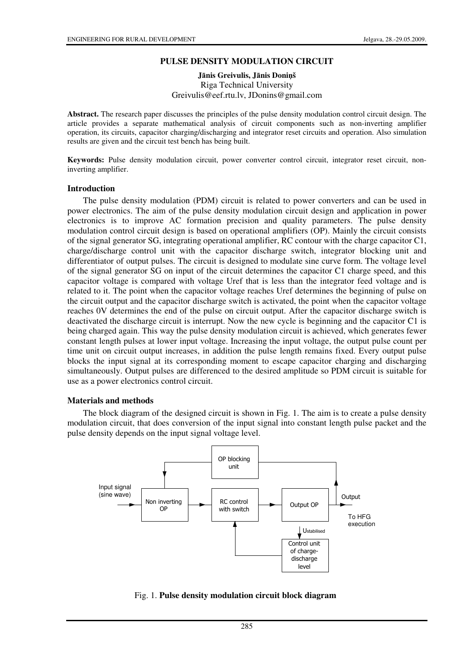### **PULSE DENSITY MODULATION CIRCUIT**

## **J**ā**nis Greivulis, J**ā**nis Doni**ņ**š**  Riga Technical University Greivulis@eef.rtu.lv, JDonins@gmail.com

**Abstract.** The research paper discusses the principles of the pulse density modulation control circuit design. The article provides a separate mathematical analysis of circuit components such as non-inverting amplifier operation, its circuits, capacitor charging/discharging and integrator reset circuits and operation. Also simulation results are given and the circuit test bench has being built.

**Keywords:** Pulse density modulation circuit, power converter control circuit, integrator reset circuit, noninverting amplifier.

#### **Introduction**

The pulse density modulation (PDM) circuit is related to power converters and can be used in power electronics. The aim of the pulse density modulation circuit design and application in power electronics is to improve AC formation precision and quality parameters. The pulse density modulation control circuit design is based on operational amplifiers (OP). Mainly the circuit consists of the signal generator SG, integrating operational amplifier, RC contour with the charge capacitor C1, charge/discharge control unit with the capacitor discharge switch, integrator blocking unit and differentiator of output pulses. The circuit is designed to modulate sine curve form. The voltage level of the signal generator SG on input of the circuit determines the capacitor C1 charge speed, and this capacitor voltage is compared with voltage Uref that is less than the integrator feed voltage and is related to it. The point when the capacitor voltage reaches Uref determines the beginning of pulse on the circuit output and the capacitor discharge switch is activated, the point when the capacitor voltage reaches 0V determines the end of the pulse on circuit output. After the capacitor discharge switch is deactivated the discharge circuit is interrupt. Now the new cycle is beginning and the capacitor C1 is being charged again. This way the pulse density modulation circuit is achieved, which generates fewer constant length pulses at lower input voltage. Increasing the input voltage, the output pulse count per time unit on circuit output increases, in addition the pulse length remains fixed. Every output pulse blocks the input signal at its corresponding moment to escape capacitor charging and discharging simultaneously. Output pulses are differenced to the desired amplitude so PDM circuit is suitable for use as a power electronics control circuit.

#### **Materials and methods**

The block diagram of the designed circuit is shown in Fig. 1. The aim is to create a pulse density modulation circuit, that does conversion of the input signal into constant length pulse packet and the pulse density depends on the input signal voltage level.



### Fig. 1. **Pulse density modulation circuit block diagram**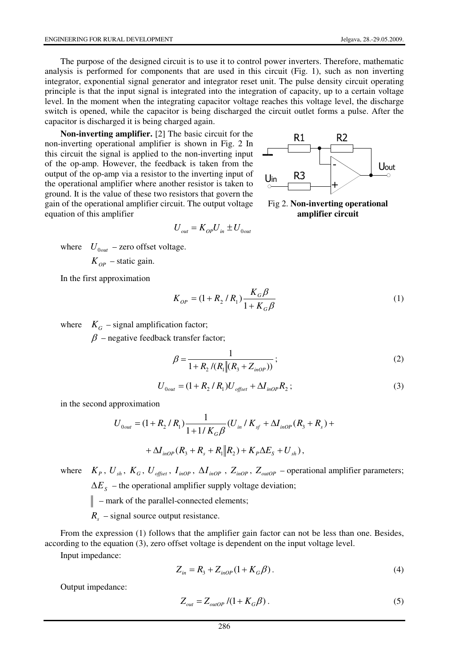Uout

The purpose of the designed circuit is to use it to control power inverters. Therefore, mathematic analysis is performed for components that are used in this circuit (Fig. 1), such as non inverting integrator, exponential signal generator and integrator reset unit. The pulse density circuit operating principle is that the input signal is integrated into the integration of capacity, up to a certain voltage level. In the moment when the integrating capacitor voltage reaches this voltage level, the discharge switch is opened, while the capacitor is being discharged the circuit outlet forms a pulse. After the capacitor is discharged it is being charged again.

 $U_{\alpha\mu} = K_{\alpha\rho} U_{\mu} \pm U_{0\alpha\mu}$ 

**Non-inverting amplifier.** [2] The basic circuit for the non-inverting operational amplifier is shown in Fig. 2 In this circuit the signal is applied to the non-inverting input of the op-amp. However, the feedback is taken from the output of the op-amp via a resistor to the inverting input of the operational amplifier where another resistor is taken ground. It is the value of these two resistors that govern gain of the operational amplifier circuit. The output vo equation of this amplifier

en to  
\n
$$
m \tthe
$$
\n
$$
H = \frac{100}{2}
$$
\n
$$
m \tthe
$$
\n
$$
m \tthe
$$
\n
$$
m \tthe
$$
\n
$$
m \tthe
$$
\n
$$
m \t the
$$
\n
$$
m \t the
$$
\n
$$
m \t the
$$
\n
$$
m \t the
$$
\n
$$
m \t the
$$
\n
$$
m \t the
$$
\n
$$
m \t the
$$
\n
$$
m \t the
$$
\n
$$
m \t the
$$
\n
$$
m \t the
$$
\n
$$
m \t the
$$
\n
$$
m \t the
$$
\n
$$
m \t the
$$
\n
$$
m \t the
$$
\n
$$
m \t the
$$
\n
$$
m \t the
$$
\n
$$
m \t the
$$
\n
$$
m \t the
$$
\n
$$
m \t the
$$
\n
$$
m \t the
$$
\n
$$
m \t the
$$
\n
$$
m \t the
$$
\n
$$
m \t the
$$
\n
$$
m \t the
$$
\n
$$
m \t the
$$
\n
$$
m \t the
$$
\n
$$
m \t the
$$
\n
$$
m \t the
$$
\n
$$
m \t the
$$
\n
$$
m \t the
$$
\n
$$
m \t the
$$
\n
$$
m \t the
$$
\n
$$
m \t the
$$
\n
$$
m \t the
$$
\n
$$
m \t the
$$
\n
$$
m \t the
$$
\n
$$
m \t the
$$
\n
$$
m \t the
$$
\n
$$
m \t the
$$
\n
$$
m \t the
$$
\n
$$
m \t the
$$
\n
$$
m \t the
$$
\n
$$
m \t the
$$
\n
$$
m \t the
$$
\n
$$
m \t the
$$
\n
$$
m \t e
$$
\n
$$
m \t e
$$
\n
$$
m \t e
$$

 $\mathbf{U}$ 

**D**3

R1

**amplifier circuit**

-

where  $U_{0out}$  – zero offset voltage.  $K_{OP}$  – static gain.

In the first approximation

$$
K_{op} = (1 + R_2 / R_1) \frac{K_G \beta}{1 + K_G \beta}
$$
 (1)

where  $K_G$  – signal amplification factor;

 $\beta$  – negative feedback transfer factor;

$$
\beta = \frac{1}{1 + R_2 / (R_1 \| (R_3 + Z_{inOP}))};\tag{2}
$$

$$
U_{0out} = (1 + R_2 / R_1) U_{offset} + \Delta I_{inOP} R_2 ; \qquad (3)
$$

in the second approximation

$$
U_{0out} = (1 + R_2 / R_1) \frac{1}{1 + 1 / K_G \beta} (U_{in} / K_{sf} + \Delta I_{inOP} (R_3 + R_s) +
$$
  
+ 
$$
\Delta I_{inOP} (R_3 + R_s + R_1 || R_2) + K_P \Delta E_s + U_{sh}),
$$

where  $K_p$ ,  $U_{sh}$ ,  $K_G$ ,  $U_{offset}$ ,  $I_{inOP}$ ,  $\Delta I_{inOP}$ ,  $Z_{inOP}$ ,  $Z_{outOP}$  – operational amplifier parameters;

 $\Delta E<sub>S</sub>$  – the operational amplifier supply voltage deviation;

 $\parallel$  – mark of the parallel-connected elements;

 $R<sub>s</sub>$  – signal source output resistance.

From the expression (1) follows that the amplifier gain factor can not be less than one. Besides, according to the equation (3), zero offset voltage is dependent on the input voltage level.

Input impedance:

$$
Z_{in} = R_3 + Z_{inOP}(1 + K_G \beta).
$$
 (4)

Output impedance:

$$
Z_{out} = Z_{outOP} / (1 + K_G \beta) \tag{5}
$$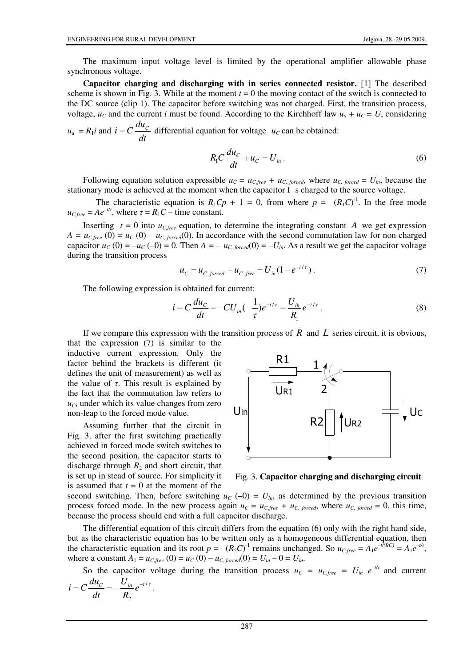The maximum input voltage level is limited by the operational amplifier allowable phase synchronous voltage.

**Capacitor charging and discharging with in series connected resistor.** [1] The described scheme is shown in Fig. 3. While at the moment  $t = 0$  the moving contact of the switch is connected to the DC source (clip 1). The capacitor before switching was not charged. First, the transition process, voltage,  $u_c$  and the current *i* must be found. According to the Kirchhoff law  $u_a + u_c = U$ , considering

 $u_a = R_1 i$  and *dt*  $i = C \frac{du_c}{dt}$  differential equation for voltage  $u_c$  can be obtained:

$$
R_1 C \frac{du_C}{dt} + u_C = U_{in}.
$$
 (6)

Following equation solution expressible  $u_C = u_{C,free} + u_{C,forced}$ , where  $u_{C,forced} = U_{in}$ , because the stationary mode is achieved at the moment when the capacitor I s charged to the source voltage.

The characteristic equation is  $R_1C_p + 1 = 0$ , from where  $p = -(R_1C)^{-1}$ . In the free mode  $u_{C,free} = Ae^{-t/\tau}$ , where  $\tau = R_1C - \tau$  time constant.

Inserting  $t = 0$  into  $u_{C,free}$  equation, to determine the integrating constant *A* we get expression  $A = u_{C,free}(0) = u_C(0) - u_{C,forced}(0)$ . In accordance with the second commutation law for non-charged capacitor  $u_C(0) = -u_C(-0) = 0$ . Then  $A = -u_C$ , *forced* $(0) = -U$ *in*. As a result we get the capacitor voltage during the transition process

$$
u_C = u_{C,forced} + u_{C,free} = U_{in}(1 - e^{-t/\tau}).
$$
\n(7)

The following expression is obtained for current:

$$
i = C \frac{du_C}{dt} = -CU_{in}(-\frac{1}{\tau})e^{-t/\tau} = \frac{U_{in}}{R_1}e^{-t/\tau}.
$$
 (8)

If we compare this expression with the transition process of *R* and *L* series circuit, it is obvious, that the expression (7) is similar to the

inductive current expression. Only the factor behind the brackets is different (it defines the unit of measurement) as well as the value of  $\tau$ . This result is explained by the fact that the commutation law refers to  $u<sub>C</sub>$ , under which its value changes from zero non-leap to the forced mode value.

Assuming further that the circuit in Fig. 3. after the first switching practically achieved in forced mode switch switches to the second position, the capacitor starts to discharge through  $R_2$  and short circuit, that is set up in stead of source. For simplicity it is assumed that  $t = 0$  at the moment of the



Fig. 3. **Capacitor charging and discharging circuit**

second switching. Then, before switching  $u_C(-0) = U_{in}$ , as determined by the previous transition process forced mode. In the new process again  $u_C = u_{C,free} + u_{C, forced}$ , where  $u_{C, forced} = 0$ , this time, because the process should end with a full capacitor discharge.

The differential equation of this circuit differs from the equation (6) only with the right hand side, but as the characteristic equation has to be written only as a homogeneous differential equation, then the characteristic equation and its root  $p = -(R_2C)^{-1}$  remains unchanged. So  $u_{C,free} = A_1 e^{-t/(RC)} = A_1 e^{-t/\tau}$ , where a constant  $A_1 = u_{C,free}(0) = u_C(0) - u_{C, forced}(0) = U_{in} - 0 = U_{in}$ .

So the capacitor voltage during the transition process  $u_C = u_{C,free} = U_{in} e^{-t/\tau}$  and current  $i = C \frac{du_c}{dt} = -\frac{U_{in}}{R} e^{-t/\tau}$ .

$$
c\frac{d}{dt} = -\frac{1}{R_2}e
$$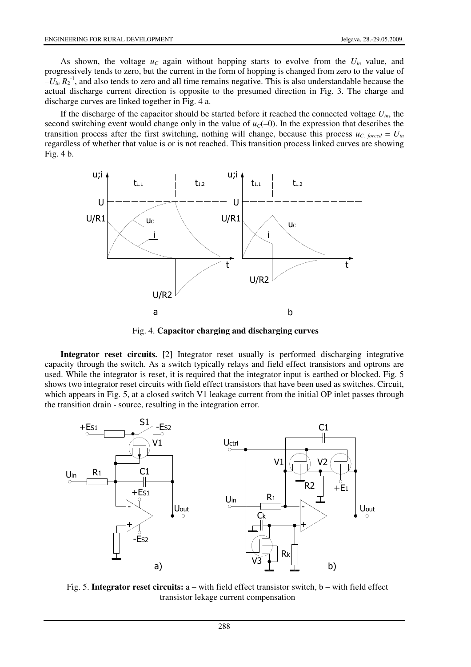As shown, the voltage  $u_c$  again without hopping starts to evolve from the  $U_{in}$  value, and progressively tends to zero, but the current in the form of hopping is changed from zero to the value of  $-U_{in} R_2^{-1}$ , and also tends to zero and all time remains negative. This is also understandable because the actual discharge current direction is opposite to the presumed direction in Fig. 3. The charge and discharge curves are linked together in Fig. 4 a.

If the discharge of the capacitor should be started before it reached the connected voltage *Uin*, the second switching event would change only in the value of  $u<sub>C</sub>(-0)$ . In the expression that describes the transition process after the first switching, nothing will change, because this process  $u_{C, forced} = U_{in}$ regardless of whether that value is or is not reached. This transition process linked curves are showing Fig. 4 b.



Fig. 4. **Capacitor charging and discharging curves**

**Integrator reset circuits.** [2] Integrator reset usually is performed discharging integrative capacity through the switch. As a switch typically relays and field effect transistors and optrons are used. While the integrator is reset, it is required that the integrator input is earthed or blocked. Fig. 5 shows two integrator reset circuits with field effect transistors that have been used as switches. Circuit, which appears in Fig. 5, at a closed switch V1 leakage current from the initial OP inlet passes through the transition drain - source, resulting in the integration error.



Fig. 5. **Integrator reset circuits:** a – with field effect transistor switch, b – with field effect transistor lekage current compensation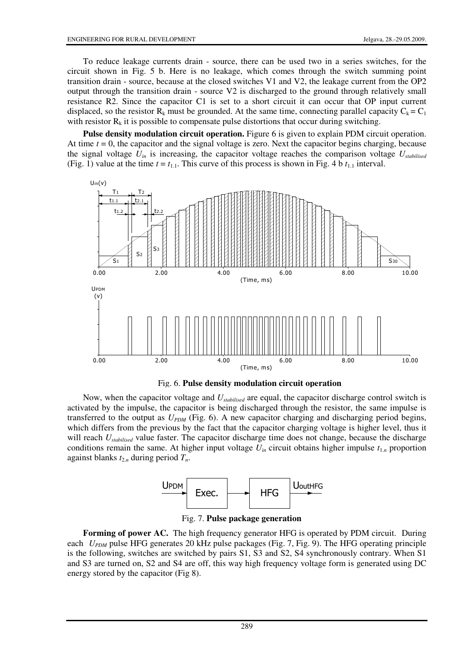To reduce leakage currents drain - source, there can be used two in a series switches, for the circuit shown in Fig. 5 b. Here is no leakage, which comes through the switch summing point transition drain - source, because at the closed switches V1 and V2, the leakage current from the OP2 output through the transition drain - source V2 is discharged to the ground through relatively small resistance R2. Since the capacitor C1 is set to a short circuit it can occur that OP input current displaced, so the resistor R<sub>k</sub> must be grounded. At the same time, connecting parallel capacity  $C_k = C_1$ with resistor  $R_k$  it is possible to compensate pulse distortions that occur during switching.

**Pulse density modulation circuit operation.** Figure 6 is given to explain PDM circuit operation. At time  $t = 0$ , the capacitor and the signal voltage is zero. Next the capacitor begins charging, because the signal voltage  $U_{in}$  is increasing, the capacitor voltage reaches the comparison voltage  $U_{stable}$ (Fig. 1) value at the time  $t = t_{1,1}$ . This curve of this process is shown in Fig. 4 b  $t_{1,1}$  interval.





Now, when the capacitor voltage and *Ustabilised* are equal, the capacitor discharge control switch is activated by the impulse, the capacitor is being discharged through the resistor, the same impulse is transferred to the output as *UPDM* (Fig. 6). A new capacitor charging and discharging period begins, which differs from the previous by the fact that the capacitor charging voltage is higher level, thus it will reach *Ustabilised* value faster. The capacitor discharge time does not change, because the discharge conditions remain the same. At higher input voltage  $U_{in}$  circuit obtains higher impulse  $t_{1,n}$  proportion against blanks *t*2.*<sup>n</sup>* during period *Tn*.



Fig. 7. **Pulse package generation**

**Forming of power AC.** The high frequency generator HFG is operated by PDM circuit. During each *U<sub>PDM</sub>* pulse HFG generates 20 kHz pulse packages (Fig. 7, Fig. 9). The HFG operating principle is the following, switches are switched by pairs S1, S3 and S2, S4 synchronously contrary. When S1 and S3 are turned on, S2 and S4 are off, this way high frequency voltage form is generated using DC energy stored by the capacitor (Fig 8).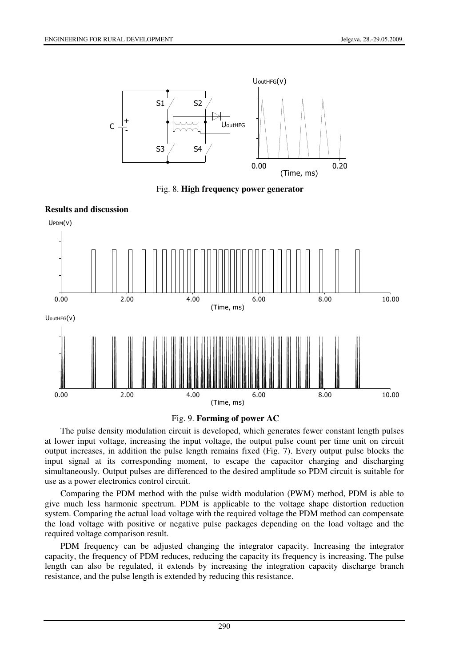

Fig. 8. **High frequency power generator**





The pulse density modulation circuit is developed, which generates fewer constant length pulses at lower input voltage, increasing the input voltage, the output pulse count per time unit on circuit output increases, in addition the pulse length remains fixed (Fig. 7). Every output pulse blocks the input signal at its corresponding moment, to escape the capacitor charging and discharging simultaneously. Output pulses are differenced to the desired amplitude so PDM circuit is suitable for use as a power electronics control circuit.

Comparing the PDM method with the pulse width modulation (PWM) method, PDM is able to give much less harmonic spectrum. PDM is applicable to the voltage shape distortion reduction system. Comparing the actual load voltage with the required voltage the PDM method can compensate the load voltage with positive or negative pulse packages depending on the load voltage and the required voltage comparison result.

PDM frequency can be adjusted changing the integrator capacity. Increasing the integrator capacity, the frequency of PDM reduces, reducing the capacity its frequency is increasing. The pulse length can also be regulated, it extends by increasing the integration capacity discharge branch resistance, and the pulse length is extended by reducing this resistance.